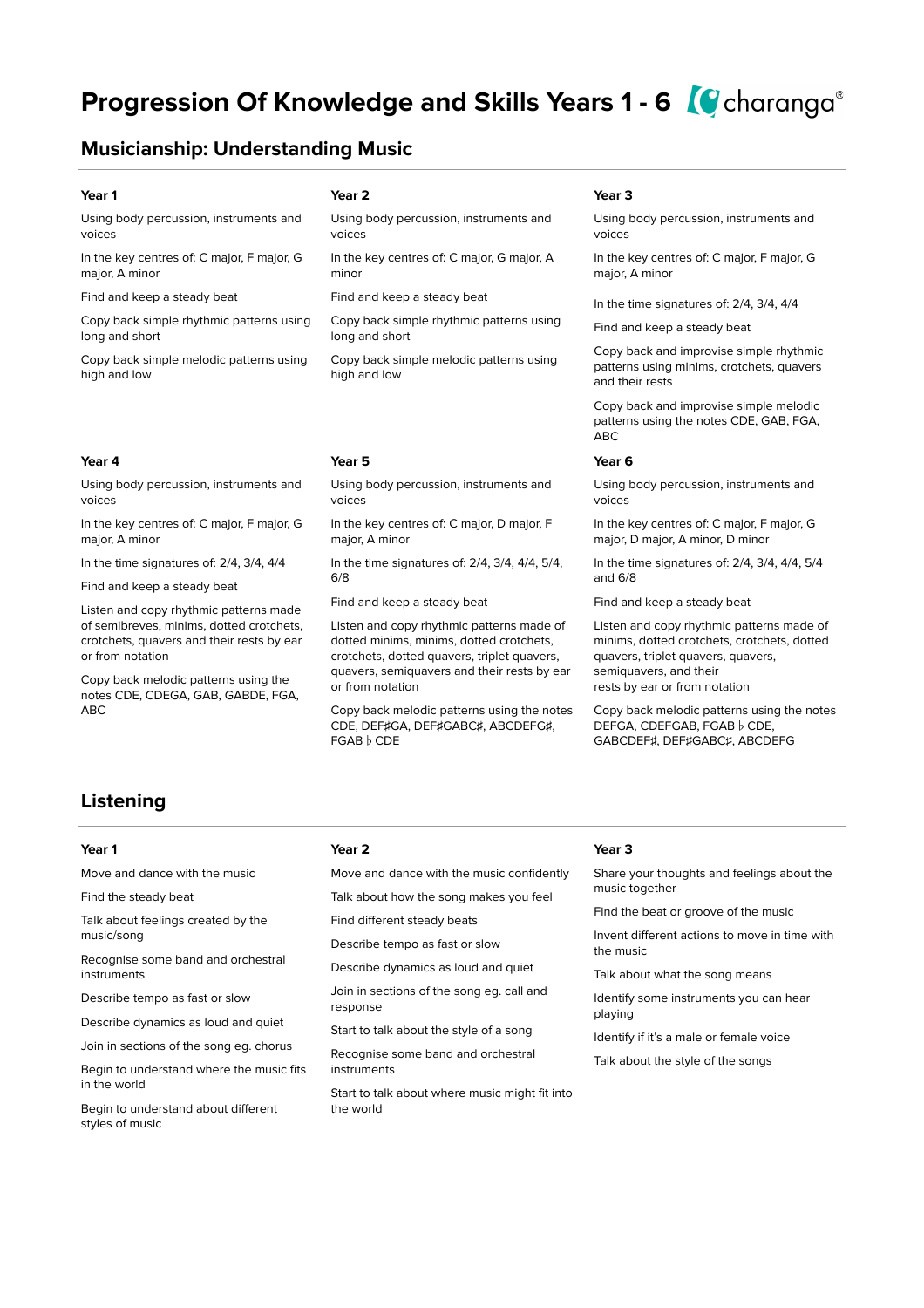# **Progression Of Knowledge and Skills Years 1 - 6**  Charanga<sup>®</sup>

## **Musicianship: Understanding Music**

Using body percussion, instruments and voices

In the key centres of: C major, F major, G major, A minor

Find and keep a steady beat

Copy back simple rhythmic patterns using long and short

Copy back simple melodic patterns using high and low

### **Year 4 Year 5 Year 6**

Using body percussion, instruments and voices

In the key centres of: C major, F major, G major, A minor

In the time signatures of: 2/4, 3/4, 4/4

Find and keep a steady beat

Listen and copy rhythmic patterns made of semibreves, minims, dotted crotchets, crotchets, quavers and their rests by ear or from notation

Copy back melodic patterns using the notes CDE, CDEGA, GAB, GABDE, FGA, ABC

### **Year 1 Year 2 Year 3**

Using body percussion, instruments and voices

In the key centres of: C major, G major, A minor

Find and keep a steady beat

Copy back simple rhythmic patterns using long and short

Copy back simple melodic patterns using high and low

Using body percussion, instruments and voices

In the key centres of: C major, D major, F major, A minor

In the time signatures of: 2/4, 3/4, 4/4, 5/4, 6/8

Find and keep a steady beat

Listen and copy rhythmic patterns made of dotted minims, minims, dotted crotchets, crotchets, dotted quavers, triplet quavers, quavers, semiquavers and their rests by ear or from notation

Copy back melodic patterns using the notes CDE, DEF♯GA, DEF♯GABC♯, ABCDEFG♯, FGAB♭CDE

Using body percussion, instruments and voices

In the key centres of: C major, F major, G major, A minor

In the time signatures of: 2/4, 3/4, 4/4

Find and keep a steady beat

Copy back and improvise simple rhythmic patterns using minims, crotchets, quavers and their rests

Copy back and improvise simple melodic patterns using the notes CDE, GAB, FGA, ABC

Using body percussion, instruments and voices

In the key centres of: C major, F major, G major, D major, A minor, D minor

In the time signatures of: 2/4, 3/4, 4/4, 5/4 and 6/8

Find and keep a steady beat

Listen and copy rhythmic patterns made of minims, dotted crotchets, crotchets, dotted quavers, triplet quavers, quavers, semiquavers, and their rests by ear or from notation

Copy back melodic patterns using the notes DEFGA, CDEFGAB, FGAB ♭ CDE, GABCDEF♯, DEF♯GABC♯, ABCDEFG

## **Listening**

Move and dance with the music

Find the steady beat

Talk about feelings created by the music/song

Recognise some band and orchestral instruments

Describe tempo as fast or slow

Describe dynamics as loud and quiet

Join in sections of the song eg. chorus

Begin to understand where the music fits in the world

Begin to understand about different styles of music

### **Year 1 Year 2 Year 3**

Move and dance with the music confidently

Talk about how the song makes you feel

Find different steady beats

Describe tempo as fast or slow

Describe dynamics as loud and quiet

Join in sections of the song eg. call and response

Start to talk about the style of a song

Recognise some band and orchestral instruments

Start to talk about where music might fit into the world

Share your thoughts and feelings about the music together

Find the beat or groove of the music

Invent different actions to move in time with the music

Talk about what the song means

Identify some instruments you can hear playing

Identify if it's a male or female voice

Talk about the style of the songs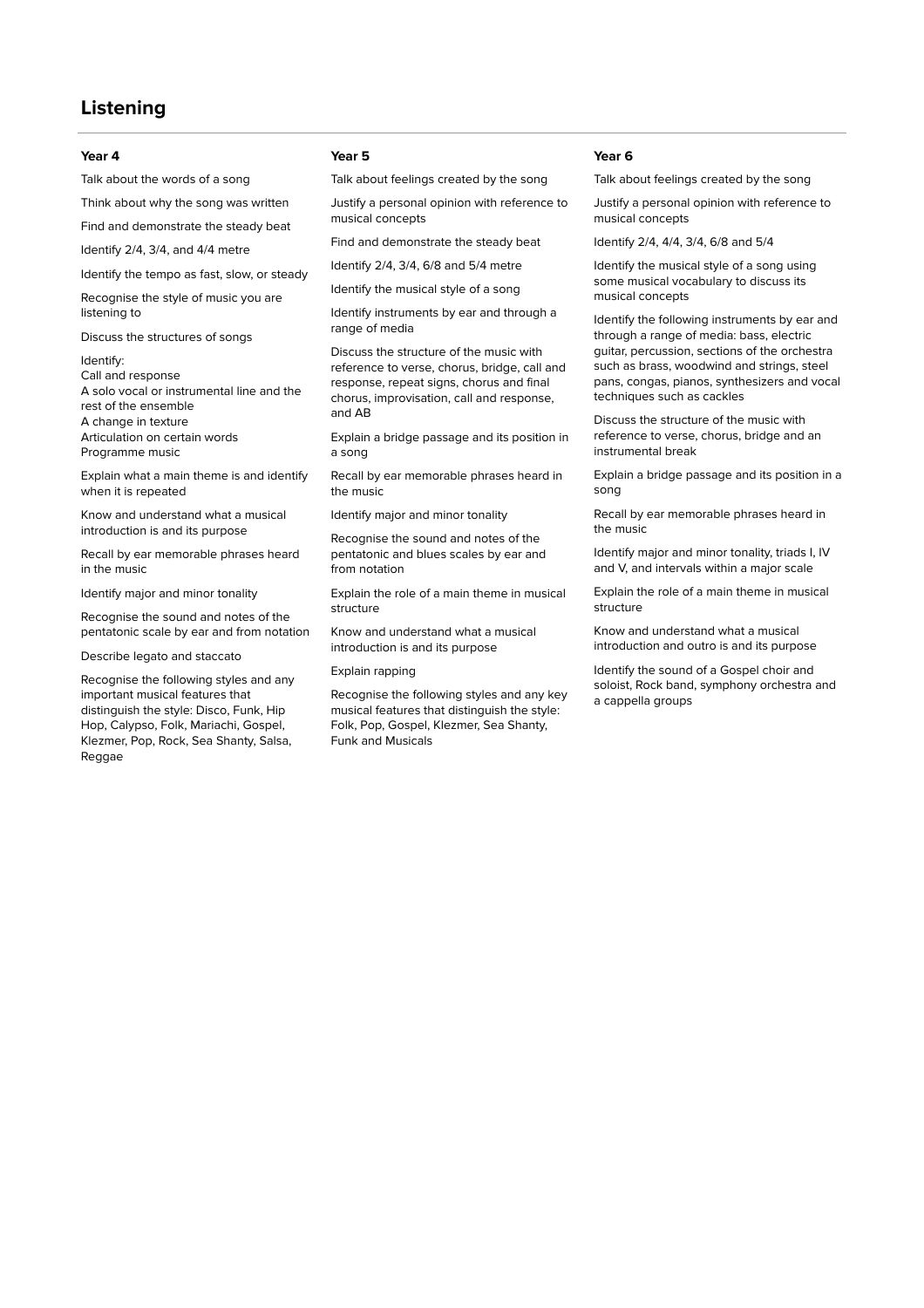## **Listening**

### **Year 4 Year 5 Year 6**

Talk about the words of a song

Think about why the song was written

Find and demonstrate the steady beat

Identify 2/4, 3/4, and 4/4 metre

Identify the tempo as fast, slow, or steady

Recognise the style of music you are listening to

Discuss the structures of songs

### Identify:

Call and response A solo vocal or instrumental line and the rest of the ensemble A change in texture Articulation on certain words Programme music

Explain what a main theme is and identify when it is repeated

Know and understand what a musical introduction is and its purpose

Recall by ear memorable phrases heard in the music

Identify major and minor tonality

Recognise the sound and notes of the pentatonic scale by ear and from notation

Describe legato and staccato

Recognise the following styles and any important musical features that distinguish the style: Disco, Funk, Hip Hop, Calypso, Folk, Mariachi, Gospel, Klezmer, Pop, Rock, Sea Shanty, Salsa, Reggae

Talk about feelings created by the song

Justify a personal opinion with reference to musical concepts

Find and demonstrate the steady beat

Identify 2/4, 3/4, 6/8 and 5/4 metre

Identify the musical style of a song

Identify instruments by ear and through a range of media

Discuss the structure of the music with reference to verse, chorus, bridge, call and response, repeat signs, chorus and final chorus, improvisation, call and response, and AB

Explain a bridge passage and its position in a song

Recall by ear memorable phrases heard in the music

Identify major and minor tonality

Recognise the sound and notes of the pentatonic and blues scales by ear and from notation

Explain the role of a main theme in musical structure

Know and understand what a musical introduction is and its purpose

### Explain rapping

Recognise the following styles and any key musical features that distinguish the style: Folk, Pop, Gospel, Klezmer, Sea Shanty, Funk and Musicals

Talk about feelings created by the song

Justify a personal opinion with reference to musical concepts

Identify 2/4, 4/4, 3/4, 6/8 and 5/4

Identify the musical style of a song using some musical vocabulary to discuss its musical concepts

Identify the following instruments by ear and through a range of media: bass, electric guitar, percussion, sections of the orchestra such as brass, woodwind and strings, steel pans, congas, pianos, synthesizers and vocal techniques such as cackles

Discuss the structure of the music with reference to verse, chorus, bridge and an instrumental break

Explain a bridge passage and its position in a song

Recall by ear memorable phrases heard in the music

Identify major and minor tonality, triads I, IV and V, and intervals within a major scale

Explain the role of a main theme in musical structure

Know and understand what a musical introduction and outro is and its purpose

Identify the sound of a Gospel choir and soloist, Rock band, symphony orchestra and a cappella groups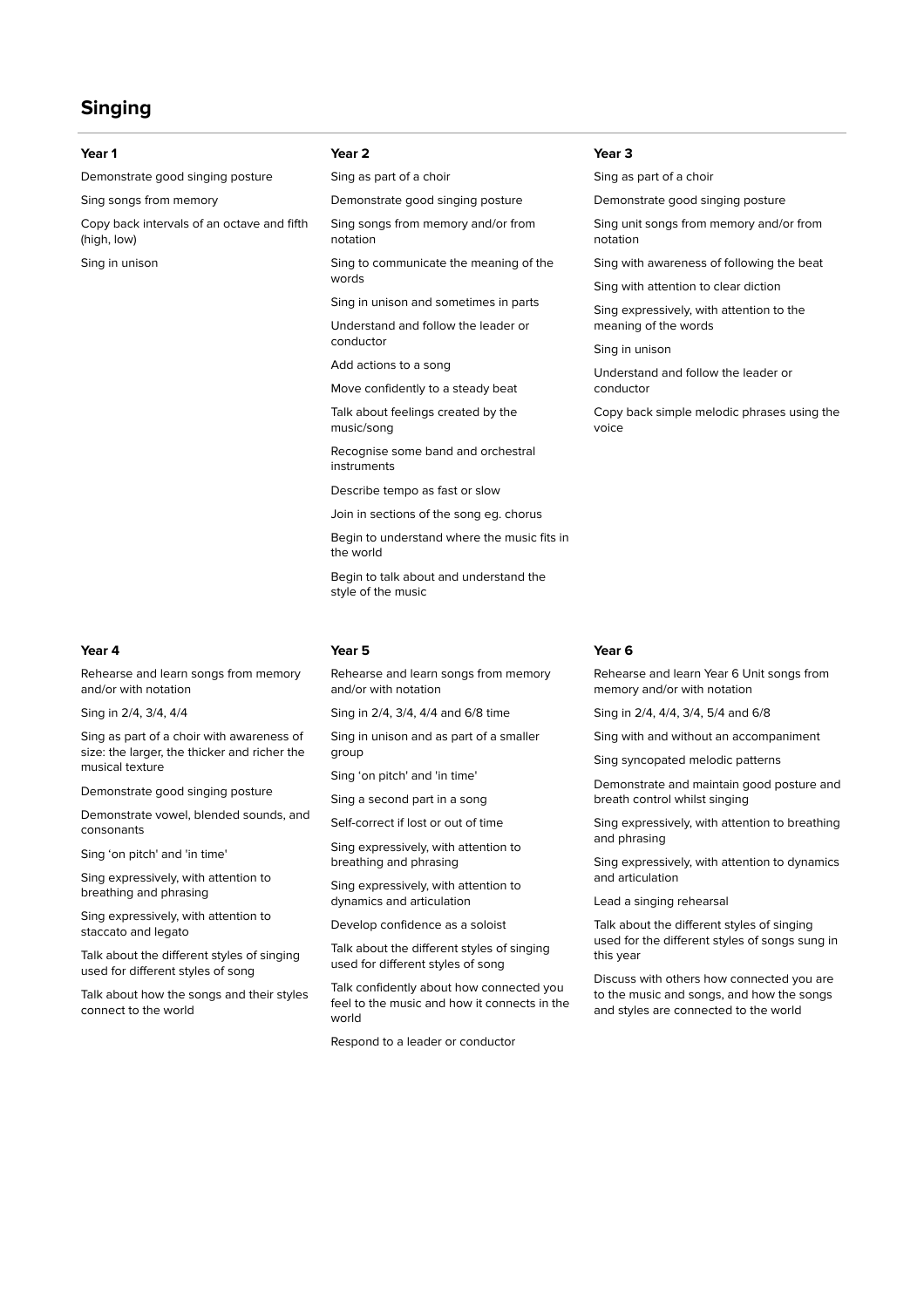## **Singing**

Demonstrate good singing posture

Sing songs from memory

Copy back intervals of an octave and fifth (high, low)

Sing in unison

Sing as part of a choir

Demonstrate good singing posture

Sing songs from memory and/or from notation

Sing to communicate the meaning of the words

Sing in unison and sometimes in parts

Understand and follow the leader or conductor

Add actions to a song

Move confidently to a steady beat

Talk about feelings created by the music/song

Recognise some band and orchestral instruments

Describe tempo as fast or slow

Join in sections of the song eg. chorus Begin to understand where the music fits in the world

Begin to talk about and understand the style of the music

### **Year 4 Year 5 Year 6**

Rehearse and learn songs from memory and/or with notation

Sing in 2/4, 3/4, 4/4

Sing as part of a choir with awareness of size: the larger, the thicker and richer the musical texture

Demonstrate good singing posture

Demonstrate vowel, blended sounds, and consonants

Sing 'on pitch' and 'in time'

Sing expressively, with attention to breathing and phrasing

Sing expressively, with attention to staccato and legato

Talk about the different styles of singing used for different styles of song

Talk about how the songs and their styles connect to the world

Rehearse and learn songs from memory and/or with notation

Sing in 2/4, 3/4, 4/4 and 6/8 time

Sing in unison and as part of a smaller group

Sing 'on pitch' and 'in time'

Sing a second part in a song

Self-correct if lost or out of time

Sing expressively, with attention to breathing and phrasing

Sing expressively, with attention to dynamics and articulation

Develop confidence as a soloist

Talk about the different styles of singing used for different styles of song

Talk confidently about how connected you feel to the music and how it connects in the world

Respond to a leader or conductor

### **Year 1 Year 2 Year 3**

Sing as part of a choir

Demonstrate good singing posture

Sing unit songs from memory and/or from notation

Sing with awareness of following the beat

Sing with attention to clear diction

Sing expressively, with attention to the meaning of the words

Sing in unison

Understand and follow the leader or conductor

Copy back simple melodic phrases using the voice

Rehearse and learn Year 6 Unit songs from memory and/or with notation

Sing in 2/4, 4/4, 3/4, 5/4 and 6/8

Sing with and without an accompaniment

Sing syncopated melodic patterns

Demonstrate and maintain good posture and breath control whilst singing

Sing expressively, with attention to breathing and phrasing

Sing expressively, with attention to dynamics and articulation

Lead a singing rehearsal

Talk about the different styles of singing used for the different styles of songs sung in this year

Discuss with others how connected you are to the music and songs, and how the songs and styles are connected to the world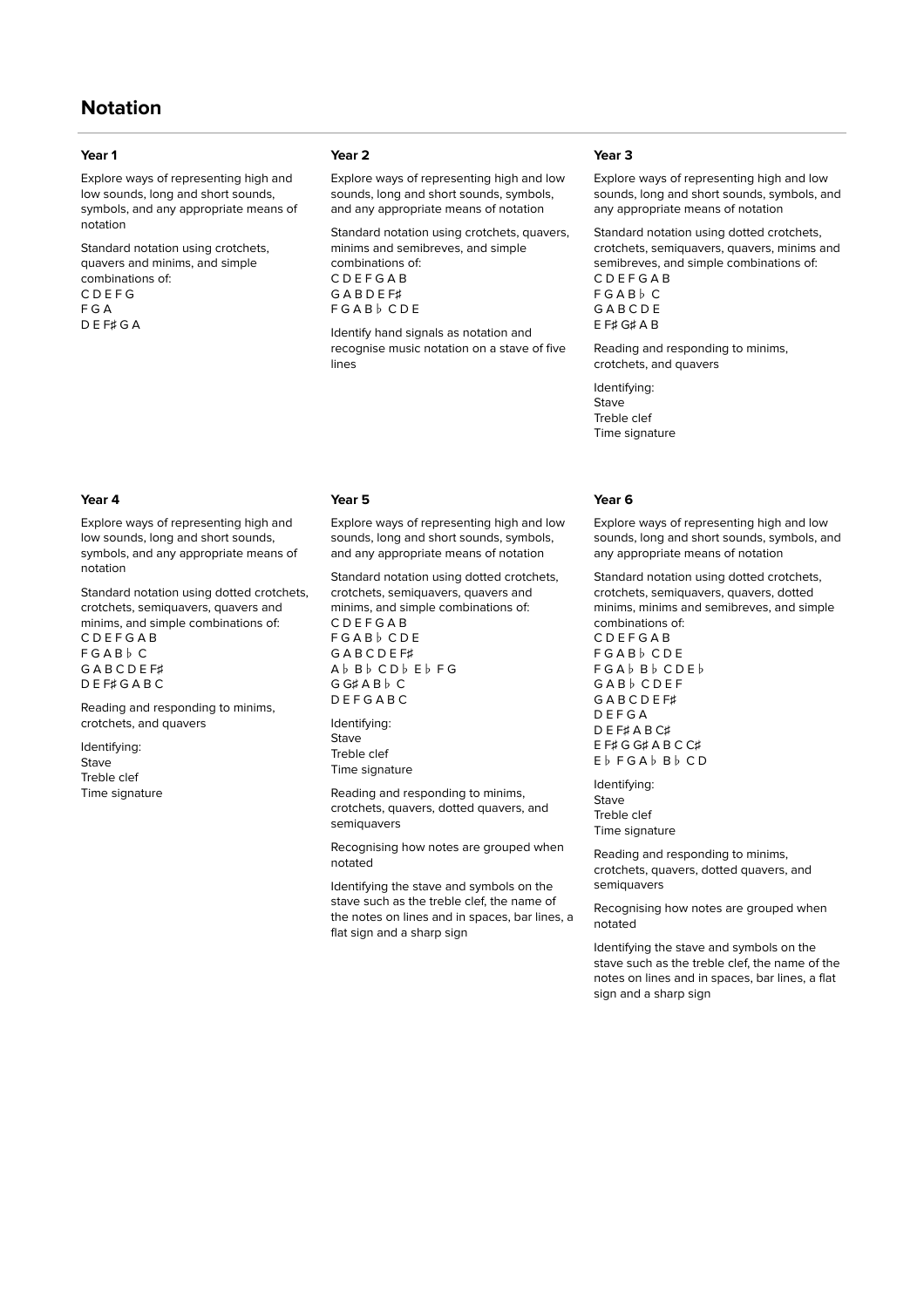## **Notation**

Explore ways of representing high and low sounds, long and short sounds, symbols, and any appropriate means of notation

Standard notation using crotchets, quavers and minims, and simple combinations of: C D E F G F G A D E F♯ G A

Explore ways of representing high and low sounds, long and short sounds, symbols, and any appropriate means of notation

Standard notation using dotted crotchets, crotchets, semiquavers, quavers and minims, and simple combinations of: C D E F G A B

F G A B♭ C G A B C D E F♯ D E F♯ G A B C

Reading and responding to minims, crotchets, and quavers

Identifying: Stave Treble clef Time signature

### **Year 1 Year 2 Year 3**

Explore ways of representing high and low sounds, long and short sounds, symbols, and any appropriate means of notation

Standard notation using crotchets, quavers, minims and semibreves, and simple combinations of: C D E F G A B G A B D E F♯ F G A B♭ C D E

Identify hand signals as notation and recognise music notation on a stave of five lines

### **Year 4 Year 5 Year 6**

Explore ways of representing high and low sounds, long and short sounds, symbols, and any appropriate means of notation

Standard notation using dotted crotchets, crotchets, semiquavers, quavers and minims, and simple combinations of: C D E F G A B F G A B♭ C D E G A B C D E F♯ A♭ B♭ C D♭ E♭ F G G G♯ A B♭ C D E F G A B C

Identifying: **Stave** Treble clef Time signature

Reading and responding to minims, crotchets, quavers, dotted quavers, and semiquavers

Recognising how notes are grouped when notated

Identifying the stave and symbols on the stave such as the treble clef, the name of the notes on lines and in spaces, bar lines, a flat sign and a sharp sign

Explore ways of representing high and low sounds, long and short sounds, symbols, and any appropriate means of notation

Standard notation using dotted crotchets, crotchets, semiquavers, quavers, minims and semibreves, and simple combinations of: C D E F G A B F G A B♭ C **GABCDE** E F♯ G♯ A B

Reading and responding to minims, crotchets, and quavers

Identifying: Stave Treble clef Time signature

Explore ways of representing high and low sounds, long and short sounds, symbols, and any appropriate means of notation

Standard notation using dotted crotchets, crotchets, semiquavers, quavers, dotted minims, minims and semibreves, and simple combinations of: C D E F G A B

F G A B♭ C D E F G A♭ B♭ C D E♭ G A B♭ C D E F G A B C D E F♯ D E F G A D E F♯ A B C♯ E F♯ G G♯ A B C C♯ E♭ F G A♭ B♭ C D

Identifying: Stave Treble clef Time signature

Reading and responding to minims, crotchets, quavers, dotted quavers, and semiquavers

Recognising how notes are grouped when notated

Identifying the stave and symbols on the stave such as the treble clef, the name of the notes on lines and in spaces, bar lines, a flat sign and a sharp sign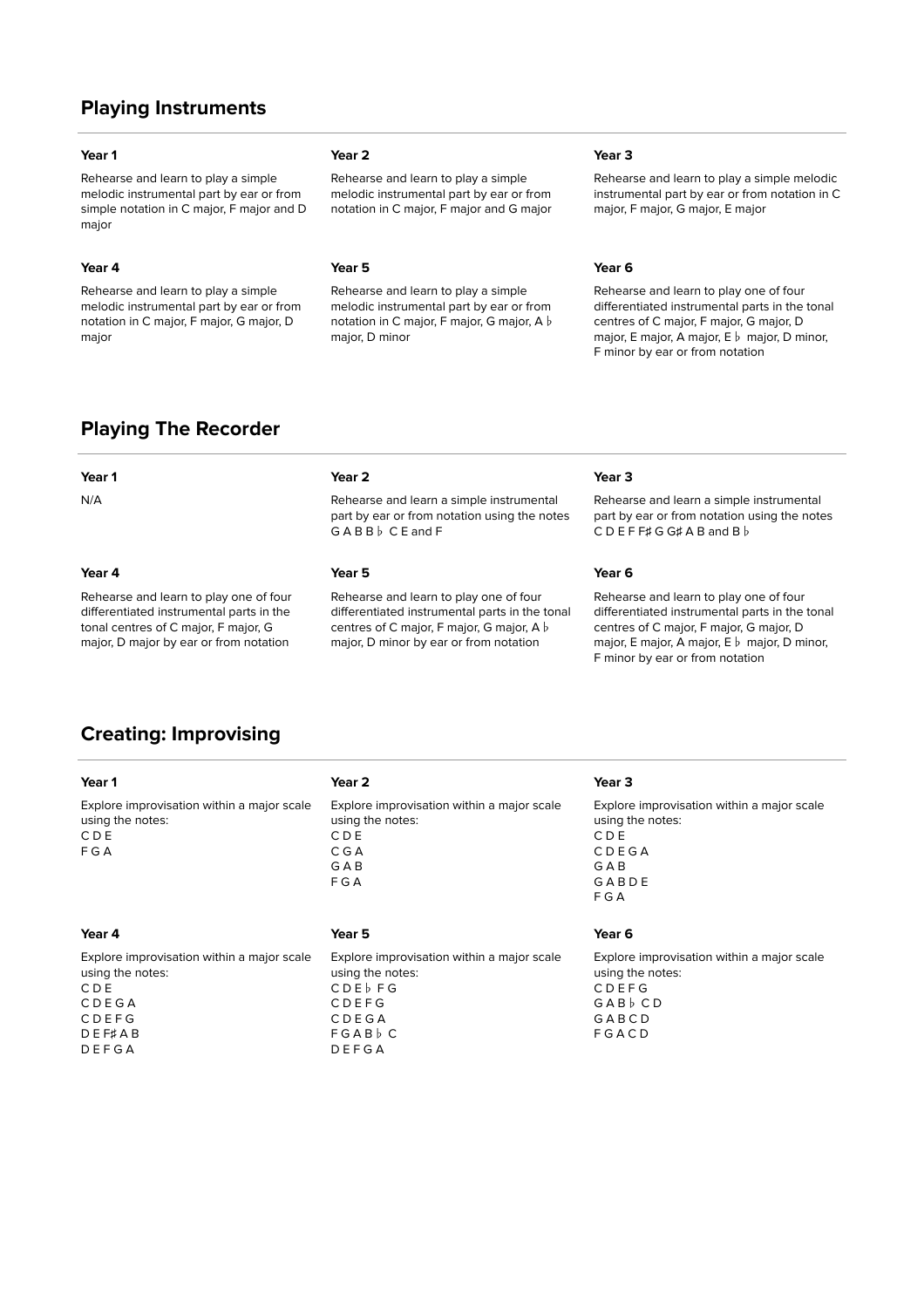## **Playing Instruments**

Rehearse and learn to play a simple melodic instrumental part by ear or from simple notation in C major, F major and D major

Rehearse and learn to play a simple melodic instrumental part by ear or from notation in C major, F major, G major, D major

Rehearse and learn to play a simple melodic instrumental part by ear or from notation in C major, F major and G major

Rehearse and learn to play a simple melodic instrumental part by ear or from notation in C major, F major, G major, A♭ major, D minor

### **Year 1 Year 2 Year 3**

Rehearse and learn to play a simple melodic instrumental part by ear or from notation in C major, F major, G major, E major

### **Year 4 Year 5 Year 6**

Rehearse and learn to play one of four differentiated instrumental parts in the tonal centres of C major, F major, G major, D major, E major, A major, E♭ major, D minor, F minor by ear or from notation

## **Playing The Recorder**

Rehearse and learn to play one of four differentiated instrumental parts in the tonal centres of C major, F major, G major, D major by ear or from notation

### **Year 1 Year 2 Year 3**

N/A Rehearse and learn a simple instrumental part by ear or from notation using the notes G A B B♭ C E and F

### **Year 4 Year 5 Year 6**

Rehearse and learn to play one of four differentiated instrumental parts in the tonal centres of C major, F major, G major, A♭ major, D minor by ear or from notation

Rehearse and learn a simple instrumental part by ear or from notation using the notes C D E F F♯ G G♯ A B and B♭

Rehearse and learn to play one of four differentiated instrumental parts in the tonal centres of C major, F major, G major, D major, E major, A major, E♭ major, D minor, F minor by ear or from notation

## **Creating: Improvising**

| Year 2                                                                                                                   | Year <sub>3</sub>                                                                                     |
|--------------------------------------------------------------------------------------------------------------------------|-------------------------------------------------------------------------------------------------------|
| Explore improvisation within a major scale<br>using the notes:<br>CDE<br>CGA<br>GAB<br>FGA                               | Explore improvisation within a major scale<br>using the notes:<br>CDE<br>CDEGA<br>GAB<br>GABDE<br>FGA |
| Year 5                                                                                                                   | Year 6                                                                                                |
| Explore improvisation within a major scale<br>using the notes:<br>CDE <sub>b</sub> FG<br><b>CDEFG</b><br>CDEGA<br>FGABbC | Explore improvisation within a major scale<br>using the notes:<br>CDEFG<br>GABbCD<br>GABCD<br>FGACD   |
|                                                                                                                          | DEFGA                                                                                                 |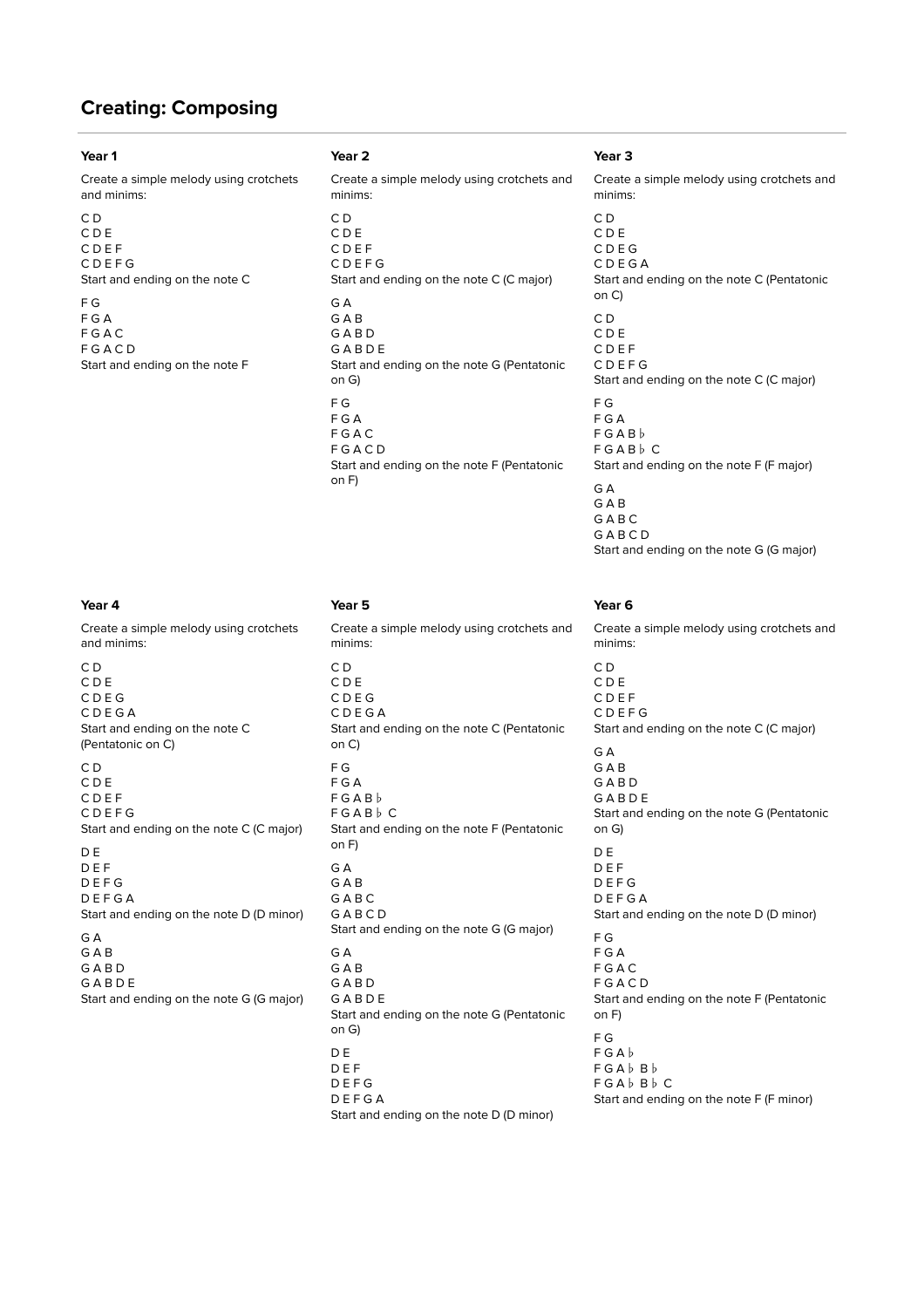## **Creating: Composing**

### **Year 1 Year 2 Year 3**

Create a simple melody using crotchets and minims:

| C D<br>CDE<br>CDEF<br>CDEFG    |
|--------------------------------|
| Start and ending on the note C |
| F G<br>F G A<br>F G A C        |
| FGACD                          |
| Start and ending on the note F |

Create a simple melody using crotchets and minims:

C D C D E C D E F C D E F G Start and ending on the note C (C major) G A G A B G A B D G A B D E Start and ending on the note G (Pentatonic on G) F G F G A F G A C F G A C D Start and ending on the note F (Pentatonic on F)

Create a simple melody using crotchets and minims:

C D C D E C D E G C D E G A Start and ending on the note C (Pentatonic on C) C D C D E C D E F C D E F G Start and ending on the note C (C major) D E D E F D E F G D E F G A Start and ending on the note D (D minor) G A G A B G A B D G A B D E Start and ending on the note G (G major)

**Year 4 Year 5 Year 6** Create a simple melody using crotchets and minims: C D C D E C D E G C D E G A Start and ending on the note C (Pentatonic on C) F G F G A F G A B♭ F G A B♭ C Start and ending on the note F (Pentatonic on F) G A  $G \triangle R$ G A B C G A B C D Start and ending on the note G (G major) G A G A B G A B D G A B D E Start and ending on the note G (Pentatonic on G) D E D E F D E F G D E F G A Start and ending on the note D (D minor)

Create a simple melody using crotchets and minims: C D C D E C D E G C D E G A Start and ending on the note C (Pentatonic on C) C D C D E C D E F C D E F G Start and ending on the note C (C major) F G F G A F G A B♭ F G A B♭ C Start and ending on the note F (F major)  $G \triangle$ G A B G A B C G A B C D Start and ending on the note G (G major)

Create a simple melody using crotchets and minims: C D C D E C D E F C D E F G Start and ending on the note C (C major) G A G A B G A B D G A B D E Start and ending on the note G (Pentatonic on G) D E D E F D E F G D E F G A Start and ending on the note D (D minor) F G F G A F G A C F G A C D Start and ending on the note F (Pentatonic on F) F G F G A♭ F G A♭ B♭ F G A♭ B♭ C Start and ending on the note F (F minor)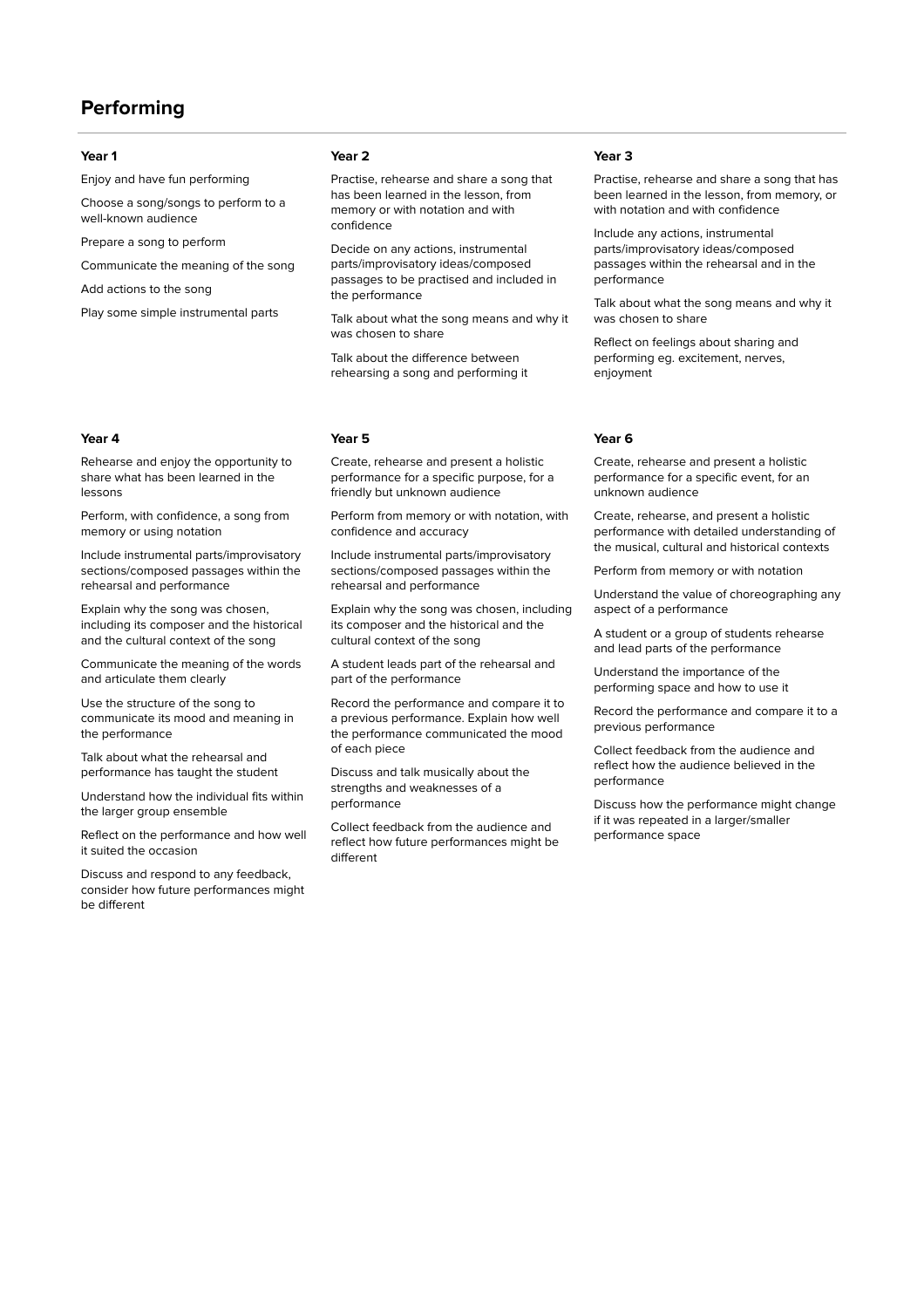## **Performing**

Enjoy and have fun performing

Choose a song/songs to perform to a well-known audience

Prepare a song to perform

Communicate the meaning of the song

Add actions to the song

Play some simple instrumental parts

### **Year 1 Year 2 Year 3**

Practise, rehearse and share a song that has been learned in the lesson, from memory or with notation and with confidence

Decide on any actions, instrumental parts/improvisatory ideas/composed passages to be practised and included in the performance

Talk about what the song means and why it was chosen to share

Talk about the difference between rehearsing a song and performing it

Rehearse and enjoy the opportunity to share what has been learned in the lessons

Perform, with confidence, a song from memory or using notation

Include instrumental parts/improvisatory sections/composed passages within the rehearsal and performance

Explain why the song was chosen, including its composer and the historical and the cultural context of the song

Communicate the meaning of the words and articulate them clearly

Use the structure of the song to communicate its mood and meaning in the performance

Talk about what the rehearsal and performance has taught the student

Understand how the individual fits within the larger group ensemble

Reflect on the performance and how well it suited the occasion

Discuss and respond to any feedback, consider how future performances might be different

Create, rehearse and present a holistic performance for a specific purpose, for a friendly but unknown audience

Perform from memory or with notation, with confidence and accuracy

Include instrumental parts/improvisatory sections/composed passages within the rehearsal and performance

Explain why the song was chosen, including its composer and the historical and the cultural context of the song

A student leads part of the rehearsal and part of the performance

Record the performance and compare it to a previous performance. Explain how well the performance communicated the mood of each piece

Discuss and talk musically about the strengths and weaknesses of a performance

Collect feedback from the audience and reflect how future performances might be different

Practise, rehearse and share a song that has been learned in the lesson, from memory, or with notation and with confidence

Include any actions, instrumental parts/improvisatory ideas/composed passages within the rehearsal and in the performance

Talk about what the song means and why it was chosen to share

Reflect on feelings about sharing and performing eg. excitement, nerves, enjoyment

### **Year 4 Year 5 Year 6**

Create, rehearse and present a holistic performance for a specific event, for an unknown audience

Create, rehearse, and present a holistic performance with detailed understanding of the musical, cultural and historical contexts

Perform from memory or with notation

Understand the value of choreographing any aspect of a performance

A student or a group of students rehearse and lead parts of the performance

Understand the importance of the performing space and how to use it

Record the performance and compare it to a previous performance

Collect feedback from the audience and reflect how the audience believed in the performance

Discuss how the performance might change if it was repeated in a larger/smaller performance space